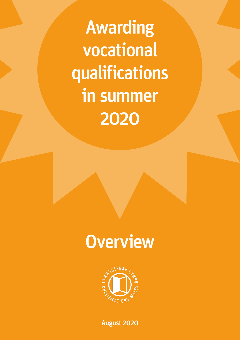Awarding vocational qualifications in summer 2020

# **Overview**



August 2020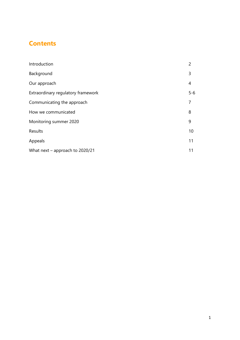# **Contents**

| Introduction                       | $\overline{c}$ |
|------------------------------------|----------------|
| Background                         | 3              |
| Our approach                       | 4              |
| Extraordinary regulatory framework | $5 - 6$        |
| Communicating the approach         | 7              |
| How we communicated                | 8              |
| Monitoring summer 2020             | 9              |
| Results                            | 10             |
| Appeals                            | 11             |
| What next - approach to 2020/21    | 11             |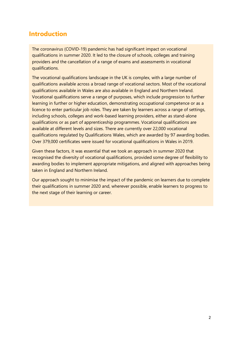## **Introduction**

The coronavirus (COVID-19) pandemic has had significant impact on vocational qualifications in summer 2020. It led to the closure of schools, colleges and training providers and the cancellation of a range of exams and assessments in vocational qualifications.

The vocational qualifications landscape in the UK is complex, with a large number of qualifications available across a broad range of vocational sectors. Most of the vocational qualifications available in Wales are also available in England and Northern Ireland. Vocational qualifications serve a range of purposes, which include progression to further learning in further or higher education, demonstrating occupational competence or as a licence to enter particular job roles. They are taken by learners across a range of settings, including schools, colleges and work-based learning providers, either as stand-alone qualifications or as part of apprenticeship programmes. Vocational qualifications are available at different levels and sizes. There are currently over 22,000 vocational qualifications regulated by Qualifications Wales, which are awarded by 97 awarding bodies. Over 379,000 certificates were issued for vocational qualifications in Wales in 2019.

Given these factors, it was essential that we took an approach in summer 2020 that recognised the diversity of vocational qualifications, provided some degree of flexibility to awarding bodies to implement appropriate mitigations, and aligned with approaches being taken in England and Northern Ireland.

Our approach sought to minimise the impact of the pandemic on learners due to complete their qualifications in summer 2020 and, wherever possible, enable learners to progress to the next stage of their learning or career.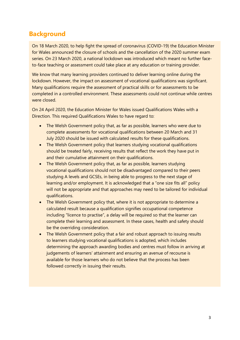# **Background**

On 18 March 2020, to help fight the spread of coronavirus (COVID-19) the Education Minister for Wales announced the closure of schools and the cancellation of the 2020 summer exam series. On 23 March 2020, a national lockdown was introduced which meant no further faceto-face teaching or assessment could take place at any education or training provider.

We know that many learning providers continued to deliver learning online during the lockdown. However, the impact on assessment of vocational qualifications was significant. Many qualifications require the assessment of practical skills or for assessments to be completed in a controlled environment. These assessments could not continue while centres were closed.

On 24 April 2020, the Education Minister for Wales issued Qualifications Wales with a Direction. This required Qualifications Wales to have regard to:

- The Welsh Government policy that, as far as possible, learners who were due to complete assessments for vocational qualifications between 20 March and 31 July 2020 should be issued with calculated results for these qualifications.
- The Welsh Government policy that learners studying vocational qualifications should be treated fairly, receiving results that reflect the work they have put in and their cumulative attainment on their qualifications.
- The Welsh Government policy that, as far as possible, learners studying vocational qualifications should not be disadvantaged compared to their peers studying A levels and GCSEs, in being able to progress to the next stage of learning and/or employment. It is acknowledged that a "one size fits all" policy will not be appropriate and that approaches may need to be tailored for individual qualifications.
- The Welsh Government policy that, where it is not appropriate to determine a calculated result because a qualification signifies occupational competence including "licence to practise", a delay will be required so that the learner can complete their learning and assessment. In these cases, health and safety should be the overriding consideration.
- The Welsh Government policy that a fair and robust approach to issuing results to learners studying vocational qualifications is adopted, which includes determining the approach awarding bodies and centres must follow in arriving at judgements of learners' attainment and ensuring an avenue of recourse is available for those learners who do not believe that the process has been followed correctly in issuing their results.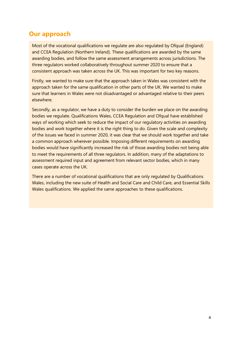## **Our approach**

Most of the vocational qualifications we regulate are also regulated by Ofqual (England) and CCEA Regulation (Northern Ireland). These qualifications are awarded by the same awarding bodies, and follow the same assessment arrangements across jurisdictions. The three regulators worked collaboratively throughout summer 2020 to ensure that a consistent approach was taken across the UK. This was important for two key reasons.

Firstly, we wanted to make sure that the approach taken in Wales was consistent with the approach taken for the same qualification in other parts of the UK. We wanted to make sure that learners in Wales were not disadvantaged or advantaged relative to their peers elsewhere.

Secondly, as a regulator, we have a duty to consider the burden we place on the awarding bodies we regulate. Qualifications Wales, CCEA Regulation and Ofqual have established ways of working which seek to reduce the impact of our regulatory activities on awarding bodies and work together where it is the right thing to do. Given the scale and complexity of the issues we faced in summer 2020, it was clear that we should work together and take a common approach wherever possible. Imposing different requirements on awarding bodies would have significantly increased the risk of those awarding bodies not being able to meet the requirements of all three regulators. In addition, many of the adaptations to assessment required input and agreement from relevant sector bodies, which in many cases operate across the UK.

There are a number of vocational qualifications that are only regulated by Qualifications Wales, including the new suite of Health and Social Care and Child Care, and Essential Skills Wales qualifications. We applied the same approaches to these qualifications.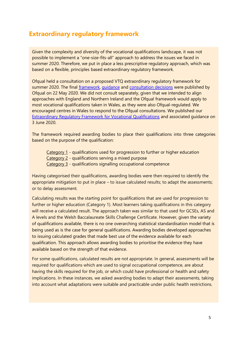### **Extraordinary regulatory framework**

Given the complexity and diversity of the vocational qualifications landscape, it was not possible to implement a "one-size-fits-all" approach to address the issues we faced in summer 2020. Therefore, we put in place a less prescriptive regulatory approach, which was based on a flexible, principles based extraordinary regulatory framework.

Ofqual held a consultation on a proposed VTQ extraordinary regulatory framework for summer 2020. The final [framework,](https://www.gov.uk/government/publications/extraordinary-regulatory-framework-vtq-covid-19-conditions-and-requirements) [guidance](https://assets.publishing.service.gov.uk/government/uploads/system/uploads/attachment_data/file/886933/20-6620-6__Extraordinary_regulatory_framework_-_Vocational_and_Technical_Qualifications__COVID-19_Guidance.pdf) and [consultation decisions](https://www.gov.uk/government/consultations/exceptional-arrangements-for-assessment-and-grading-in-2020) were published by Ofqual on 22 May 2020. We did not consult separately, given that we intended to align approaches with England and Northern Ireland and the Ofqual framework would apply to most vocational qualifications taken in Wales, as they were also Ofqual-regulated. We encouraged centres in Wales to respond to the Ofqual consultations. We published our [Extraordinary Regulatory Framework for Vocational Qualifications](https://www.qualificationswales.org/english/our-work/our-regulatory-documents/conditions/covid-19-extraordinary-regulatory-framework-for-vqs/) and associated guidance on 3 June 2020.

The framework required awarding bodies to place their qualifications into three categories based on the purpose of the qualification:

Category 1 - qualifications used for progression to further or higher education Category 2 - qualifications serving a mixed purpose Category 3 - qualifications signalling occupational competence

Having categorised their qualifications, awarding bodies were then required to identify the appropriate mitigation to put in place – to issue calculated results; to adapt the assessments; or to delay assessment.

Calculating results was the starting point for qualifications that are used for progression to further or higher education (Category 1). Most learners taking qualifications in this category will receive a calculated result. The approach taken was similar to that used for GCSEs, AS and A levels and the Welsh Baccalaureate Skills Challenge Certificate. However, given the variety of qualifications available, there is no one overarching statistical standardisation model that is being used as is the case for general qualifications. Awarding bodies developed approaches to issuing calculated grades that made best use of the evidence available for each qualification. This approach allows awarding bodies to prioritise the evidence they have available based on the strength of that evidence.

For some qualifications, calculated results are not appropriate. In general, assessments will be required for qualifications which are used to signal occupational competence, are about having the skills required for the job, or which could have professional or health and safety implications. In these instances, we asked awarding bodies to adapt their assessments, taking into account what adaptations were suitable and practicable under public health restrictions.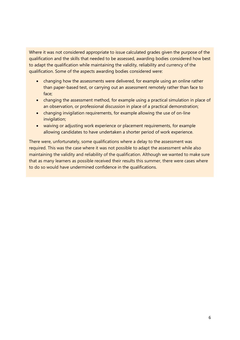Where it was not considered appropriate to issue calculated grades given the purpose of the qualification and the skills that needed to be assessed, awarding bodies considered how best to adapt the qualification while maintaining the validity, reliability and currency of the qualification. Some of the aspects awarding bodies considered were:

- changing how the assessments were delivered, for example using an online rather than paper-based test, or carrying out an assessment remotely rather than face to face;
- changing the assessment method, for example using a practical simulation in place of an observation, or professional discussion in place of a practical demonstration;
- changing invigilation requirements, for example allowing the use of on-line invigilation;
- waiving or adjusting work experience or placement requirements, for example allowing candidates to have undertaken a shorter period of work experience.

There were, unfortunately, some qualifications where a delay to the assessment was required. This was the case where it was not possible to adapt the assessment while also maintaining the validity and reliability of the qualification. Although we wanted to make sure that as many learners as possible received their results this summer, there were cases where to do so would have undermined confidence in the qualifications.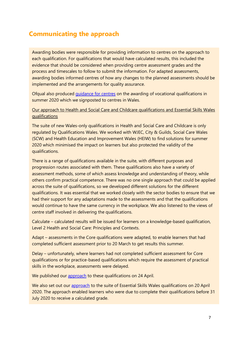# **Communicating the approach**

Awarding bodies were responsible for providing information to centres on the approach to each qualification. For qualifications that would have calculated results, this included the evidence that should be considered when providing centre assessment grades and the process and timescales to follow to submit the information. For adapted assessments, awarding bodies informed centres of how any changes to the planned assessments should be implemented and the arrangements for quality assurance.

Ofqual also produced [guidance for centres](https://assets.publishing.service.gov.uk/government/uploads/system/uploads/attachment_data/file/904992/VTQ_Guidance_for_Centres_290720.pdf) on the awarding of vocational qualifications in summer 2020 which we signposted to centres in Wales.

Our approach to Health and Social Care and Childcare qualifications and Essential Skills Wales qualifications

The suite of new Wales-only qualifications in Health and Social Care and Childcare is only regulated by Qualifications Wales. We worked with WJEC, City & Guilds, Social Care Wales (SCW) and Health Education and Improvement Wales (HEIW) to find solutions for summer 2020 which minimised the impact on learners but also protected the validity of the qualifications.

There is a range of qualifications available in the suite, with different purposes and progression routes associated with them. These qualifications also have a variety of assessment methods, some of which assess knowledge and understanding of theory, while others confirm practical competence. There was no one single approach that could be applied across the suite of qualifications, so we developed different solutions for the different qualifications. It was essential that we worked closely with the sector bodies to ensure that we had their support for any adaptations made to the assessments and that the qualifications would continue to have the same currency in the workplace. We also listened to the views of centre staff involved in delivering the qualifications.

Calculate – calculated results will be issued for learners on a knowledge-based qualification, Level 2 Health and Social Care: Principles and Contexts.

Adapt – assessments in the Core qualifications were adapted, to enable learners that had completed sufficient assessment prior to 20 March to get results this summer.

Delay – unfortunately, where learners had not completed sufficient assessment for Core qualifications or for practice-based qualifications which require the assessment of practical skills in the workplace, assessments were delayed.

We published our [approach](https://www.qualificationswales.org/english/coronavirus---covid-19/qualifications-wales-statements/health-and-social-care-and-childcare-qualifications-in-wales/) to these qualifications on 24 April.

We also set out our [approach](https://www.qualificationswales.org/english/coronavirus---covid-19/qualifications-wales-statements/essential-skills-wales-contingency-arrangements---20-april-2020/) to the suite of Essential Skills Wales qualifications on 20 April 2020. The approach enabled learners who were due to complete their qualifications before 31 July 2020 to receive a calculated grade.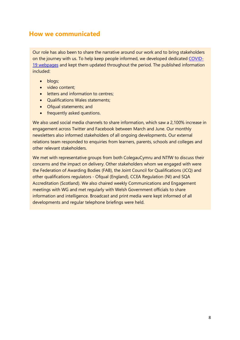#### **How we communicated**

Our role has also been to share the narrative around our work and to bring stakeholders on the journey with us. To help keep people informed, we developed dedicated [COVID-](https://qualificationswales.org/english/coronavirus---covid-19/summer-2020-decisions/)[19 webpages](https://qualificationswales.org/english/coronavirus---covid-19/summer-2020-decisions/) and kept them updated throughout the period. The published information included:

- blogs;
- video content:
- letters and information to centres:
- Qualifications Wales statements;
- Ofqual statements; and
- frequently asked questions.

We also used social media channels to share information, which saw a 2,100% increase in engagement across Twitter and Facebook between March and June. Our monthly newsletters also informed stakeholders of all ongoing developments. Our external relations team responded to enquiries from learners, parents, schools and colleges and other relevant stakeholders.

We met with representative groups from both ColegauCymru and NTfW to discuss their concerns and the impact on delivery. Other stakeholders whom we engaged with were the Federation of Awarding Bodies (FAB), the Joint Council for Qualifications (JCQ) and other qualifications regulators - Ofqual (England), CCEA Regulation (NI) and SQA Accreditation (Scotland). We also chaired weekly Communications and Engagement meetings with WG and met regularly with Welsh Government officials to share information and intelligence. Broadcast and print media were kept informed of all developments and regular telephone briefings were held.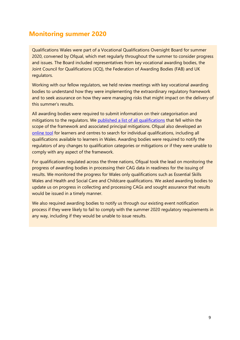## **Monitoring summer 2020**

Qualifications Wales were part of a Vocational Qualifications Oversight Board for summer 2020, convened by Ofqual, which met regularly throughout the summer to consider progress and issues. The Board included representatives from key vocational awarding bodies, the Joint Council for Qualifications (JCQ), the Federation of Awarding Bodies (FAB) and UK regulators.

Working with our fellow regulators, we held review meetings with key vocational awarding bodies to understand how they were implementing the extraordinary regulatory framework and to seek assurance on how they were managing risks that might impact on the delivery of this summer's results.

All awarding bodies were required to submit information on their categorisation and mitigations to the regulators. We [published a list of all qualifications](https://www.qualificationswales.org/english/our-work/our-regulatory-documents/conditions/covid-19-extraordinary-regulatory-framework-for-vqs/) that fell within the scope of the framework and associated principal mitigations. Ofqual also developed an [online tool](https://analytics.ofqual.gov.uk/apps/AllQualifications/summer2020tool/) for learners and centres to search for individual qualifications, including all qualifications available to learners in Wales. Awarding bodies were required to notify the regulators of any changes to qualification categories or mitigations or if they were unable to comply with any aspect of the framework.

For qualifications regulated across the three nations, Ofqual took the lead on monitoring the progress of awarding bodies in processing their CAG data in readiness for the issuing of results. We monitored the progress for Wales only qualifications such as Essential Skills Wales and Health and Social Care and Childcare qualifications. We asked awarding bodies to update us on progress in collecting and processing CAGs and sought assurance that results would be issued in a timely manner.

We also required awarding bodies to notify us through our existing event notification process if they were likely to fail to comply with the summer 2020 regulatory requirements in any way, including if they would be unable to issue results.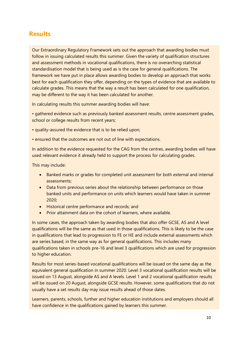#### **Results**

Our Extraordinary Regulatory Framework sets out the approach that awarding bodies must follow in issuing calculated results this summer. Given the variety of qualification structures and assessment methods in vocational qualifications, there is no overarching statistical standardisation model that is being used as is the case for general qualifications. The framework we have put in place allows awarding bodies to develop an approach that works best for each qualification they offer, depending on the types of evidence that are available to calculate grades. This means that the way a result has been calculated for one qualification, may be different to the way it has been calculated for another.

In calculating results this summer awarding bodies will have:

• gathered evidence such as previously banked assessment results, centre assessment grades, school or college results from recent years;

- quality-assured the evidence that is to be relied upon;
- ensured that the outcomes are not out of line with expectations.

In addition to the evidence requested for the CAG from the centres, awarding bodies will have used relevant evidence it already held to support the process for calculating grades.

This may include:

- Banked marks or grades for completed unit assessment for both external and internal assessments;
- Data from previous series about the relationship between performance on those banked units and performance on units which learners would have taken in summer 2020;
- Historical centre performance and records; and
- Prior attainment data on the cohort of learners, where available.

In some cases, the approach taken by awarding bodies that also offer GCSE, AS and A level qualifications will be the same as that used in those qualifications. This is likely to be the case in qualifications that lead to progression to FE or HE and include external assessments which are series based, in the same way as for general qualifications. This includes many qualifications taken in schools pre-16 and level 3 qualifications which are used for progression to higher education.

Results for most series-based vocational qualifications will be issued on the same day as the equivalent general qualification in summer 2020. Level 3 vocational qualification results will be issued on 13 August, alongside AS and A levels. Level 1 and 2 vocational qualification results will be issued on 20 August, alongside GCSE results. However, some qualifications that do not usually have a set results day may issue results ahead of those dates.

Learners, parents, schools, further and higher education institutions and employers should all have confidence in the qualifications gained by learners this summer.